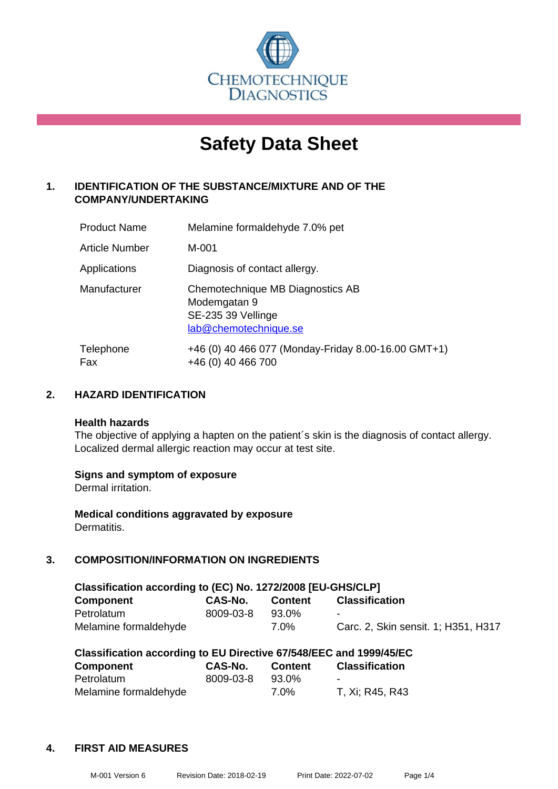

# **Safety Data Sheet**

### **1. IDENTIFICATION OF THE SUBSTANCE/MIXTURE AND OF THE COMPANY/UNDERTAKING**

| <b>Product Name</b> | Melamine formaldehyde 7.0% pet                                                                  |
|---------------------|-------------------------------------------------------------------------------------------------|
| Article Number      | M-001                                                                                           |
| Applications        | Diagnosis of contact allergy.                                                                   |
| Manufacturer        | Chemotechnique MB Diagnostics AB<br>Modemgatan 9<br>SE-235 39 Vellinge<br>lab@chemotechnique.se |
| Telephone<br>Fax    | +46 (0) 40 466 077 (Monday-Friday 8.00-16.00 GMT+1)<br>+46 (0) 40 466 700                       |

### **2. HAZARD IDENTIFICATION**

#### **Health hazards**

The objective of applying a hapten on the patient's skin is the diagnosis of contact allergy. Localized dermal allergic reaction may occur at test site.

### **Signs and symptom of exposure**

Dermal irritation.

**Medical conditions aggravated by exposure** Dermatitis.

### **3. COMPOSITION/INFORMATION ON INGREDIENTS**

| Classification according to (EC) No. 1272/2008 [EU-GHS/CLP] |           |                |                                     |  |  |
|-------------------------------------------------------------|-----------|----------------|-------------------------------------|--|--|
| Component                                                   | CAS-No.   | <b>Content</b> | <b>Classification</b>               |  |  |
| Petrolatum                                                  | 8009-03-8 | 93.0%          | $\sim$                              |  |  |
| Melamine formaldehyde                                       |           | 7.0%           | Carc. 2, Skin sensit. 1; H351, H317 |  |  |

| Classification according to EU Directive 67/548/EEC and 1999/45/EC |           |                |                       |  |
|--------------------------------------------------------------------|-----------|----------------|-----------------------|--|
| Component                                                          | CAS-No.   | <b>Content</b> | <b>Classification</b> |  |
| Petrolatum                                                         | 8009-03-8 | 93.0%          | -                     |  |
| Melamine formaldehyde                                              |           | 7.0%           | T, Xi; R45, R43       |  |

### **4. FIRST AID MEASURES**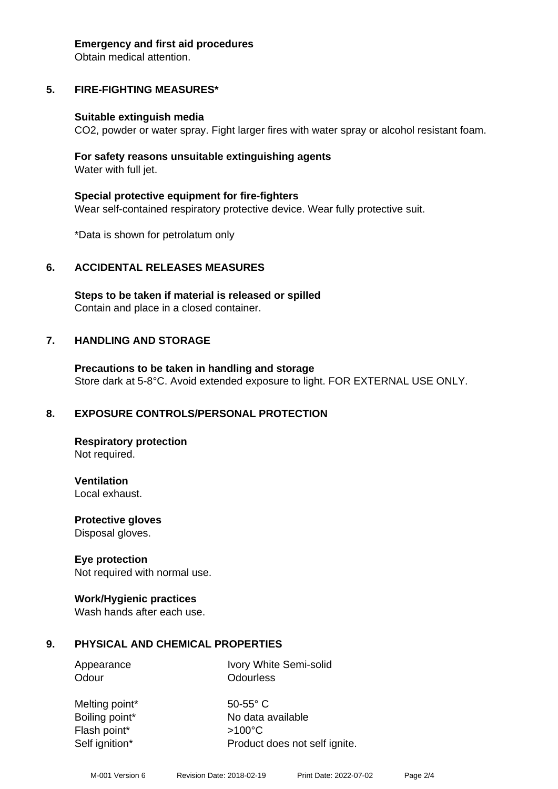#### **Emergency and first aid procedures**

Obtain medical attention.

# **5. FIRE-FIGHTING MEASURES\***

### **Suitable extinguish media**

CO2, powder or water spray. Fight larger fires with water spray or alcohol resistant foam.

### **For safety reasons unsuitable extinguishing agents** Water with full jet.

**Special protective equipment for fire-fighters** Wear self-contained respiratory protective device. Wear fully protective suit.

\*Data is shown for petrolatum only

# **6. ACCIDENTAL RELEASES MEASURES**

**Steps to be taken if material is released or spilled** Contain and place in a closed container.

# **7. HANDLING AND STORAGE**

**Precautions to be taken in handling and storage** Store dark at 5-8°C. Avoid extended exposure to light. FOR EXTERNAL USE ONLY.

# **8. EXPOSURE CONTROLS/PERSONAL PROTECTION**

**Respiratory protection** Not required.

**Ventilation** Local exhaust.

**Protective gloves** Disposal gloves.

# **Eye protection**

Not required with normal use.

## **Work/Hygienic practices**

Wash hands after each use.

# **9. PHYSICAL AND CHEMICAL PROPERTIES**

Appearance Ivory White Semi-solid Odour **Odourless** 

Melting point\* 50-55° C Flash point\* >100°C Self ignition\* Product does not self ignite.

Boiling point\* No data available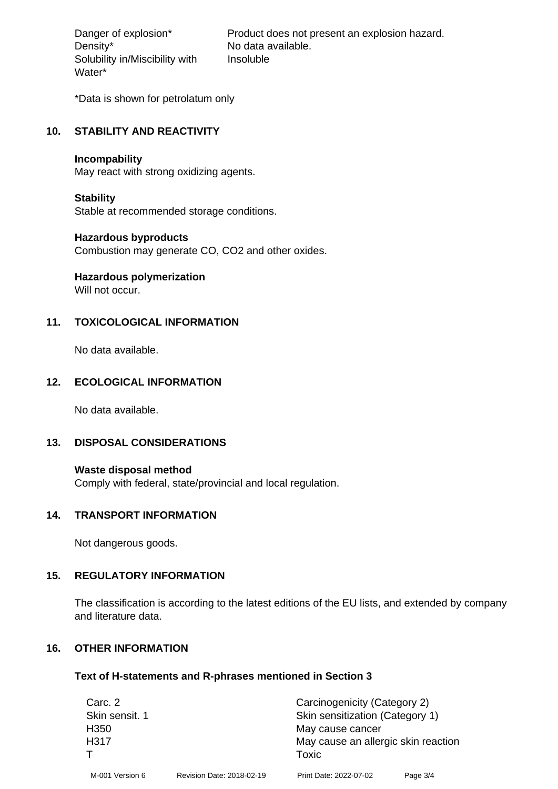Density\* No data available. Solubility in/Miscibility with Water\*

Danger of explosion\* Product does not present an explosion hazard. Insoluble

\*Data is shown for petrolatum only

#### **10. STABILITY AND REACTIVITY**

#### **Incompability**

May react with strong oxidizing agents.

#### **Stability**

Stable at recommended storage conditions.

#### **Hazardous byproducts**

Combustion may generate CO, CO2 and other oxides.

## **Hazardous polymerization**

Will not occur.

### **11. TOXICOLOGICAL INFORMATION**

No data available.

### **12. ECOLOGICAL INFORMATION**

No data available.

### **13. DISPOSAL CONSIDERATIONS**

**Waste disposal method** Comply with federal, state/provincial and local regulation.

#### **14. TRANSPORT INFORMATION**

Not dangerous goods.

### **15. REGULATORY INFORMATION**

The classification is according to the latest editions of the EU lists, and extended by company and literature data.

### **16. OTHER INFORMATION**

#### **Text of H-statements and R-phrases mentioned in Section 3**

| Carc. 2          |                           | Carcinogenicity (Category 2)        |          |
|------------------|---------------------------|-------------------------------------|----------|
| Skin sensit. 1   |                           | Skin sensitization (Category 1)     |          |
| H <sub>350</sub> |                           | May cause cancer                    |          |
| H317             |                           | May cause an allergic skin reaction |          |
|                  |                           | Toxic                               |          |
| M-001 Version 6  | Revision Date: 2018-02-19 | Print Date: 2022-07-02              | Page 3/4 |